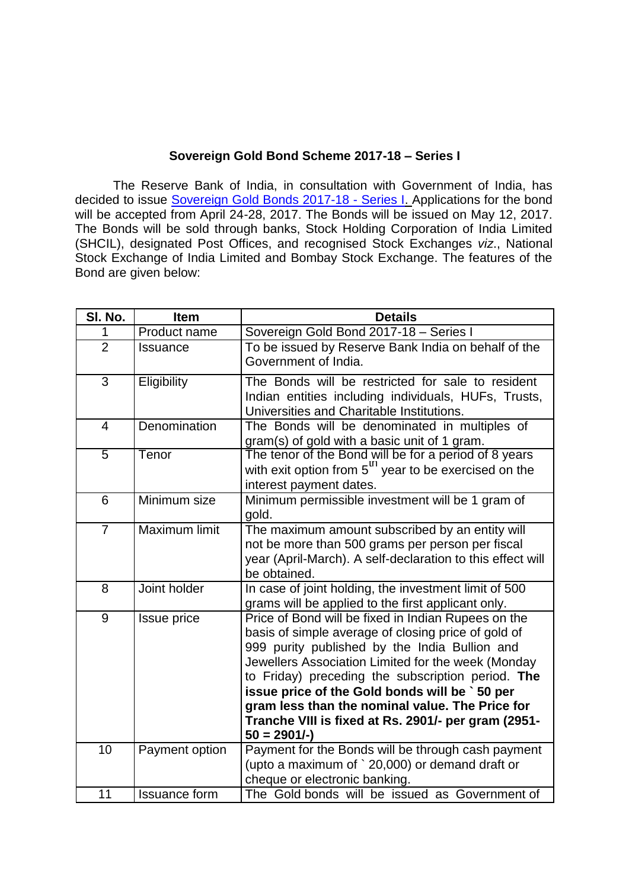## **Sovereign Gold Bond Scheme 2017-18 – Series I**

The Reserve Bank of India, in consultation with Government of India, has decided to issue [Sovereign Gold Bonds 2017-18 -](https://rbi.org.in/Scripts/NotificationUser.aspx?Id=10939&Mode=0) Series I. Applications for the bond will be accepted from April 24-28, 2017. The Bonds will be issued on May 12, 2017. The Bonds will be sold through banks, Stock Holding Corporation of India Limited (SHCIL), designated Post Offices, and recognised Stock Exchanges *viz*., National Stock Exchange of India Limited and Bombay Stock Exchange. The features of the Bond are given below:

| SI. No.         | <b>Item</b>          | <b>Details</b>                                                                                                                                                                                                                                                                                                                                                                                                                                      |
|-----------------|----------------------|-----------------------------------------------------------------------------------------------------------------------------------------------------------------------------------------------------------------------------------------------------------------------------------------------------------------------------------------------------------------------------------------------------------------------------------------------------|
| 1               | Product name         | Sovereign Gold Bond 2017-18 - Series I                                                                                                                                                                                                                                                                                                                                                                                                              |
| $\overline{2}$  | <b>Issuance</b>      | To be issued by Reserve Bank India on behalf of the<br>Government of India.                                                                                                                                                                                                                                                                                                                                                                         |
| $\mathfrak{S}$  | Eligibility          | The Bonds will be restricted for sale to resident<br>Indian entities including individuals, HUFs, Trusts,<br>Universities and Charitable Institutions.                                                                                                                                                                                                                                                                                              |
| $\overline{4}$  | Denomination         | The Bonds will be denominated in multiples of<br>gram(s) of gold with a basic unit of 1 gram.                                                                                                                                                                                                                                                                                                                                                       |
| $\overline{5}$  | Tenor                | The tenor of the Bond will be for a period of 8 years<br>with exit option from $5^{\text{m}}$ year to be exercised on the<br>interest payment dates.                                                                                                                                                                                                                                                                                                |
| $6\phantom{1}6$ | Minimum size         | Minimum permissible investment will be 1 gram of<br>gold.                                                                                                                                                                                                                                                                                                                                                                                           |
| $\overline{7}$  | <b>Maximum limit</b> | The maximum amount subscribed by an entity will<br>not be more than 500 grams per person per fiscal<br>year (April-March). A self-declaration to this effect will<br>be obtained.                                                                                                                                                                                                                                                                   |
| 8               | Joint holder         | In case of joint holding, the investment limit of 500<br>grams will be applied to the first applicant only.                                                                                                                                                                                                                                                                                                                                         |
| 9               | Issue price          | Price of Bond will be fixed in Indian Rupees on the<br>basis of simple average of closing price of gold of<br>999 purity published by the India Bullion and<br>Jewellers Association Limited for the week (Monday<br>to Friday) preceding the subscription period. The<br>issue price of the Gold bonds will be ` 50 per<br>gram less than the nominal value. The Price for<br>Tranche VIII is fixed at Rs. 2901/- per gram (2951-<br>$50 = 2901/-$ |
| 10              | Payment option       | Payment for the Bonds will be through cash payment<br>(upto a maximum of `20,000) or demand draft or<br>cheque or electronic banking.                                                                                                                                                                                                                                                                                                               |
| 11              | <b>Issuance form</b> | The Gold bonds will be issued as Government of                                                                                                                                                                                                                                                                                                                                                                                                      |